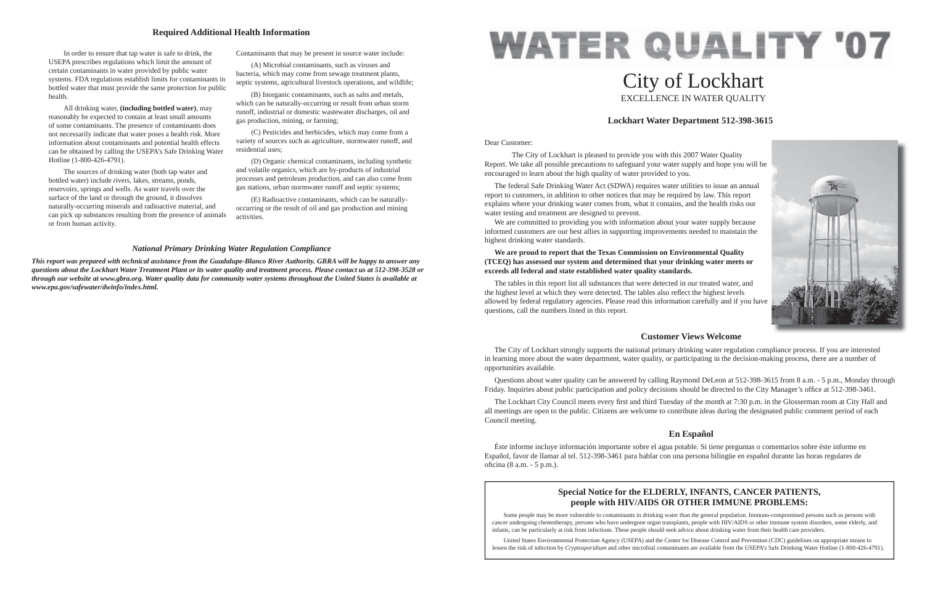#### Dear Customer:

 The City of Lockhart is pleased to provide you with this 2007 Water Quality Report. We take all possible precautions to safeguard your water supply and hope you will be encouraged to learn about the high quality of water provided to you.

We are committed to providing you with information about your water supply because informed customers are our best allies in supporting improvements needed to maintain the highest drinking water standards.

 The federal Safe Drinking Water Act (SDWA) requires water utilities to issue an annual report to customers, in addition to other notices that may be required by law. This report explains where your drinking water comes from, what it contains, and the health risks our water testing and treatment are designed to prevent.

# **WATER QUALITY '07** City of Lockhart EXCELLENCE IN WATER QUALITY

 Questions about water quality can be answered by calling Raymond DeLeon at 512-398-3615 from 8 a.m. - 5 p.m., Monday through Friday. Inquiries about public participation and policy decisions should be directed to the City Manager's office at 512-398-3461.

#### **We are proud to report that the Texas Commission on Environmental Quality (TCEQ) has assessed our system and determined that your drinking water meets or exceeds all federal and state established water quality standards.**

The Lockhart City Council meets every first and third Tuesday of the month at 7:30 p.m. in the Glosserman room at City Hall and all meetings are open to the public. Citizens are welcome to contribute ideas during the designated public comment period of each Council meeting.

 Éste informe incluye información importante sobre el agua potable. Si tiene preguntas o comentarios sobre éste informe en Español, favor de llamar al tel. 512-398-3461 para hablar con una persona bilingüe en español durante las horas regulares de oficina (8 a.m. - 5 p.m.).

The tables in this report list all substances that were detected in our treated water, and the highest level at which they were detected. The tables also reflect the highest levels allowed by federal regulatory agencies. Please read this information carefully and if you have questions, call the numbers listed in this report.

# **Lockhart Water Department 512-398-3615**

## **Customer Views Welcome**

 The City of Lockhart strongly supports the national primary drinking water regulation compliance process. If you are interested in learning more about the water department, water quality, or participating in the decision-making process, there are a number of opportunities available.

# **En Español**

 In order to ensure that tap water is safe to drink, the USEPA prescribes regulations which limit the amount of certain contaminants in water provided by public water systems. FDA regulations establish limits for contaminants in bottled water that must provide the same protection for public health.

 All drinking water, **(including bottled water)**, may reasonably be expected to contain at least small amounts of some contaminants. The presence of contaminants does not necessarily indicate that water poses a health risk. More information about contaminants and potential health effects can be obtained by calling the USEPA's Safe Drinking Water Hotline (1-800-426-4791).

 The sources of drinking water (both tap water and bottled water) include rivers, lakes, streams, ponds, reservoirs, springs and wells. As water travels over the surface of the land or through the ground, it dissolves naturally-occurring minerals and radioactive material, and can pick up substances resulting from the presence of animals or from human activity.

Contaminants that may be present in source water include:

 (A) Microbial contaminants, such as viruses and bacteria, which may come from sewage treatment plants, septic systems, agricultural livestock operations, and wildlife;

 (B) Inorganic contaminants, such as salts and metals, which can be naturally-occurring or result from urban storm runoff, industrial or domestic wastewater discharges, oil and gas production, mining, or farming;

 (C) Pesticides and herbicides, which may come from a variety of sources such as agriculture, stormwater runoff, and residential uses;

 (D) Organic chemical contaminants, including synthetic and volatile organics, which are by-products of industrial processes and petroleum production, and can also come from gas stations, urban stormwater runoff and septic systems;

 (E) Radioactive contaminants, which can be naturallyoccurring or the result of oil and gas production and mining activities.

#### **Required Additional Health Information**

#### *National Primary Drinking Water Regulation Compliance*

*This report was prepared with technical assistance from the Guadalupe-Blanco River Authority. GBRA will be happy to answer any questions about the Lockhart Water Treatment Plant or its water quality and treatment process. Please contact us at 512-398-3528 or through our website at www.gbra.org. Water quality data for community water systems throughout the United States is available at www.epa.gov/safewater/dwinfo/index.html.*

# **Special Notice for the ELDERLY, INFANTS, CANCER PATIENTS, people with HIV/AIDS OR OTHER IMMUNE PROBLEMS:**

Some people may be more vulnerable to contaminants in drinking water than the general population. Immuno-compromised persons such as persons with cancer undergoing chemotherapy, persons who have undergone organ transplants, people with HIV/AIDS or other immune system disorders, some elderly, and infants, can be particularly at risk from infections. These people should seek advice about drinking water from their health care providers.

 United States Environmental Protection Agency (USEPA) and the Center for Disease Control and Prevention (CDC) guidelines on appropriate means to lessen the risk of infection by *Cryptosporidium* and other microbial contaminants are available from the USEPA's Safe Drinking Water Hotline (1-800-426-4791).